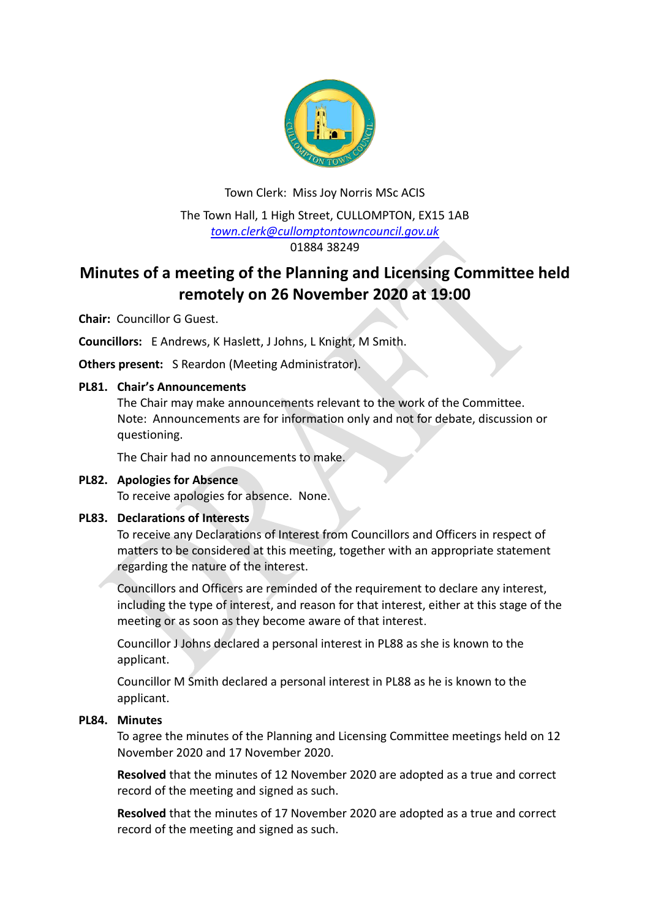

# Town Clerk: Miss Joy Norris MSc ACIS The Town Hall, 1 High Street, CULLOMPTON, EX15 1AB *[town.clerk@cullomptontowncouncil.gov.uk](mailto:town.clerk@cullomptontowncouncil.gov.uk)* 01884 38249

# **Minutes of a meeting of the Planning and Licensing Committee held remotely on 26 November 2020 at 19:00**

**Chair:** Councillor G Guest.

**Councillors:** E Andrews, K Haslett, J Johns, L Knight, M Smith.

**Others present:** S Reardon (Meeting Administrator).

### **PL81. Chair's Announcements**

The Chair may make announcements relevant to the work of the Committee. Note: Announcements are for information only and not for debate, discussion or questioning.

The Chair had no announcements to make.

# **PL82. Apologies for Absence**

To receive apologies for absence. None.

# **PL83. Declarations of Interests**

To receive any Declarations of Interest from Councillors and Officers in respect of matters to be considered at this meeting, together with an appropriate statement regarding the nature of the interest.

Councillors and Officers are reminded of the requirement to declare any interest, including the type of interest, and reason for that interest, either at this stage of the meeting or as soon as they become aware of that interest.

Councillor J Johns declared a personal interest in PL88 as she is known to the applicant.

Councillor M Smith declared a personal interest in PL88 as he is known to the applicant.

#### **PL84. Minutes**

To agree the minutes of the Planning and Licensing Committee meetings held on 12 November 2020 and 17 November 2020.

**Resolved** that the minutes of 12 November 2020 are adopted as a true and correct record of the meeting and signed as such.

**Resolved** that the minutes of 17 November 2020 are adopted as a true and correct record of the meeting and signed as such.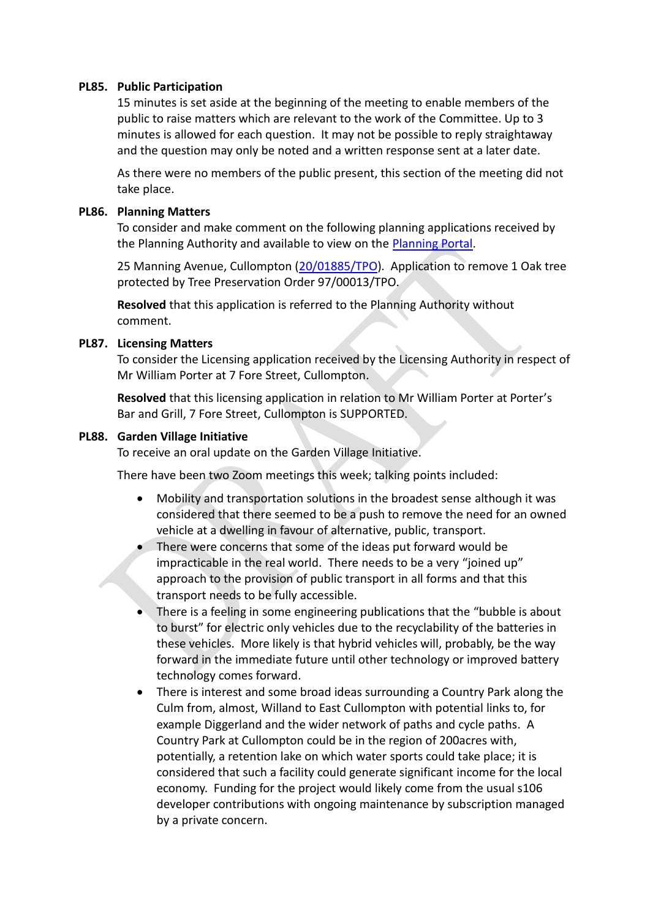#### **PL85. Public Participation**

15 minutes is set aside at the beginning of the meeting to enable members of the public to raise matters which are relevant to the work of the Committee. Up to 3 minutes is allowed for each question. It may not be possible to reply straightaway and the question may only be noted and a written response sent at a later date.

As there were no members of the public present, this section of the meeting did not take place.

#### **PL86. Planning Matters**

To consider and make comment on the following planning applications received by the Planning Authority and available to view on the [Planning Portal.](https://planning.middevon.gov.uk/online-applications/)

25 Manning Avenue, Cullompton [\(20/01885/TPO\)](https://planning.middevon.gov.uk/online-applications/applicationDetails.do?activeTab=documents&keyVal=QJOKA1KS07T00). Application to remove 1 Oak tree protected by Tree Preservation Order 97/00013/TPO.

**Resolved** that this application is referred to the Planning Authority without comment.

#### **PL87. Licensing Matters**

To consider the Licensing application received by the Licensing Authority in respect of Mr William Porter at 7 Fore Street, Cullompton.

**Resolved** that this licensing application in relation to Mr William Porter at Porter's Bar and Grill, 7 Fore Street, Cullompton is SUPPORTED.

#### **PL88. Garden Village Initiative**

To receive an oral update on the Garden Village Initiative.

There have been two Zoom meetings this week; talking points included:

- Mobility and transportation solutions in the broadest sense although it was considered that there seemed to be a push to remove the need for an owned vehicle at a dwelling in favour of alternative, public, transport.
- There were concerns that some of the ideas put forward would be impracticable in the real world. There needs to be a very "joined up" approach to the provision of public transport in all forms and that this transport needs to be fully accessible.
- There is a feeling in some engineering publications that the "bubble is about to burst" for electric only vehicles due to the recyclability of the batteries in these vehicles. More likely is that hybrid vehicles will, probably, be the way forward in the immediate future until other technology or improved battery technology comes forward.
- There is interest and some broad ideas surrounding a Country Park along the Culm from, almost, Willand to East Cullompton with potential links to, for example Diggerland and the wider network of paths and cycle paths. A Country Park at Cullompton could be in the region of 200acres with, potentially, a retention lake on which water sports could take place; it is considered that such a facility could generate significant income for the local economy. Funding for the project would likely come from the usual s106 developer contributions with ongoing maintenance by subscription managed by a private concern.